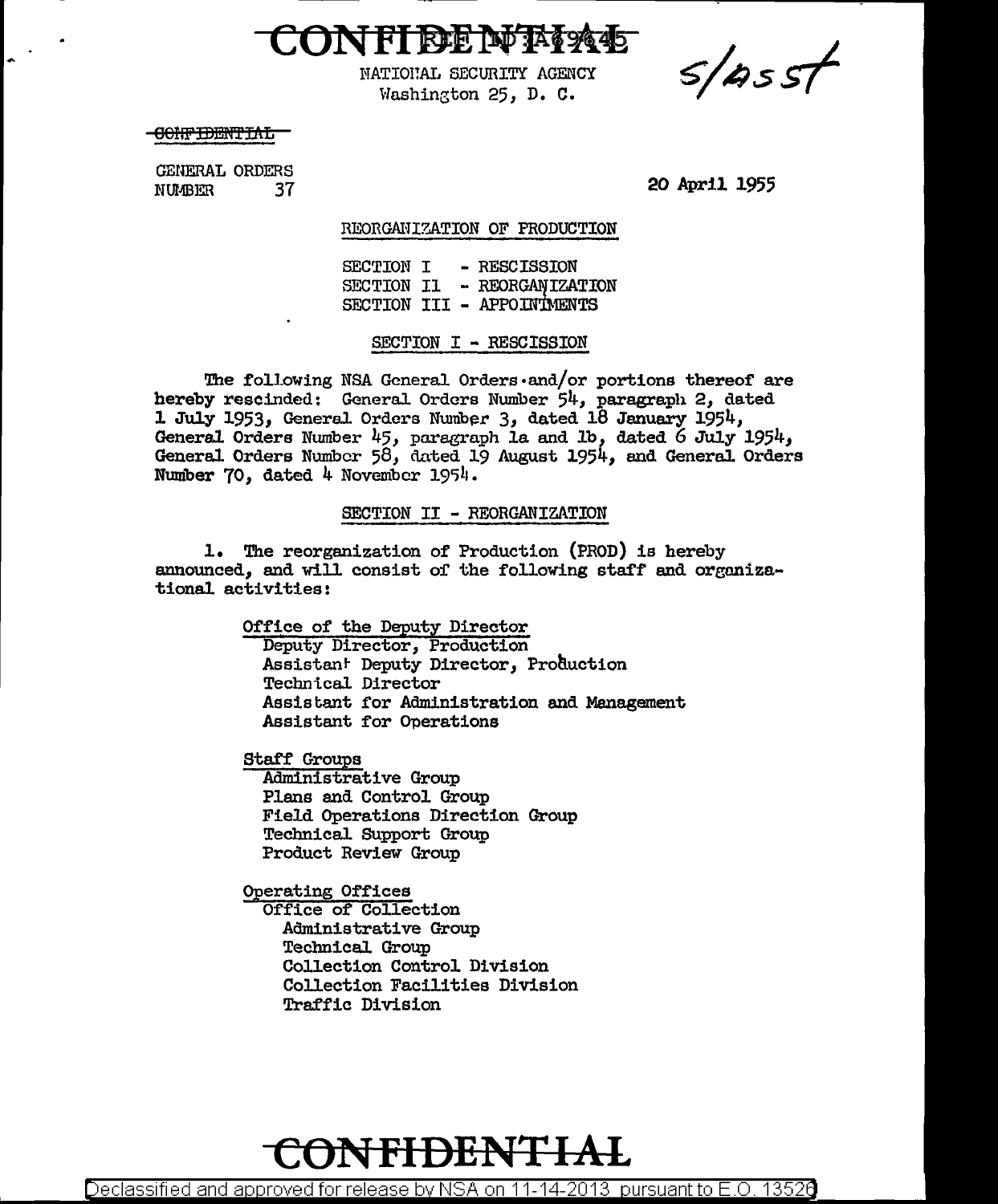

 $s/sst$ 

NATIONAL SECURITY AGENCY Washington 25, D. C.

<del>CONFIDENTIAL</del>

GENERAL ORDERS NUMBER 37

20 April 1955

REORGANIZATION OF PRODUCTION

SECTION I - RESCISSION SECTION II - REORGANIZATION SECTION III - APPOINTMENTS

SECTION I - RESCISSION

The following NSA General Orders $\cdot$ and/or portions thereof are hereby rescinded: General Orders Number 54, paragraph 2, dated 1 July 1953, General Orders Number 3, dated 18 January 1954, General Orders Number 45, paragraph la and 1b, dated 6 July 1954, General Orders Number 58, dated 19 August 1954, and General Orders Number 70, dated  $4$  November 1954.

SECTION II - REORGANIZATION

1. The reorganization of Production (PROD) is hereby announced, and will consist of the following staff and organizational activities:

> Office of the Deputy Director Deputy Director, Production Assistan<sup>t</sup> Deputy Director, Production Technical Director Assistant for Administration and Management Assistant for Operations

Staff Groups Administrative Group

Plans and Control Group Field Operations Direction Group Technical SUpport Group Product Review Group

0perating Offices

Office of Collection Administrative Group Technical Group Collection Control Division Collection Facilities Division Traffic Division

## **CON FIDE NT li\L**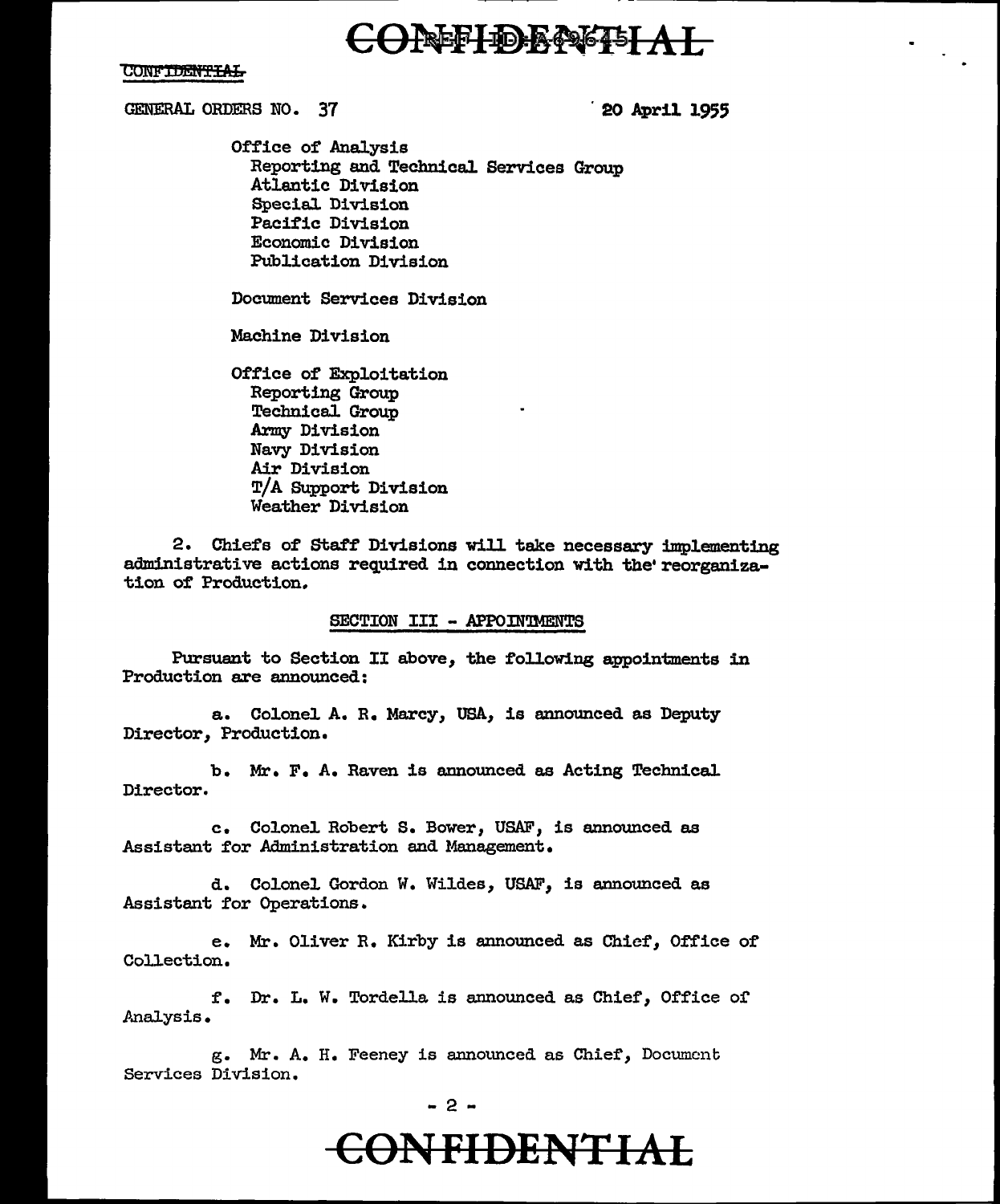## **ONEFIDE NEITAT**

#### **CONFIDENTIAL**

GENERAL ORDERS NO. 37 . 20 April 1955

Office of Analysis Reporting and Technical Services Group Atlantic Division Special. Division Pacific Division Economic Division Publication Division

Document Services Division

Machine Division

Office of Exploitation Reporting Group Technica1 Group Army Division Navy Division Air Division T/A Support Division Weather Division

2. Chiefs of Staff Divisions will take necessary implementing administrative actions required in connection With the' reorganization of Production.

#### SECTION III - APPOINTMENTS

Pursuant to Section II above, the following appointments in Production are announced:

a. Colonel A. R. Marcy, USA, is announced as Deputy Director, Production.

b. Mr. F. A. Raven is announced as Acting Technical Director.

c. Colonel Robert s. Bower, USAF, is announced as Assistant for Administration and Management.

d. Colonel Gordon W. Wildes, USAF, is announced as Assistant for Operations.

e. Mr. Oliver R. Kirby is announced as Chief, Office of Collection.

f. Dr. L. W. Tordella is announced as Chief, Office of .Analysis.

g. Mr. A. H. Feeney is announced as Chief, Document Services Division.

#### - 2 -

## **CONFIDENTIAL**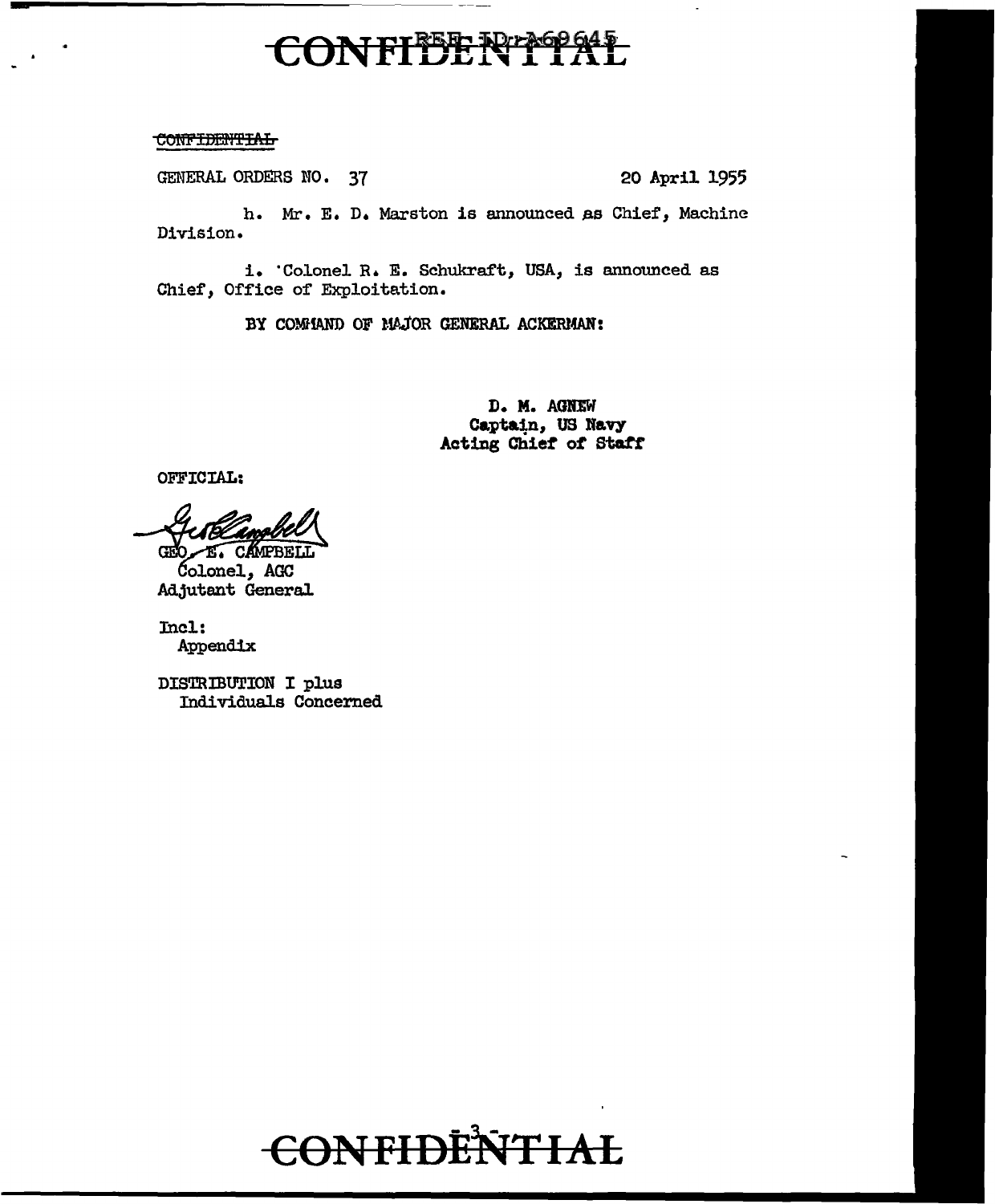### **ONFIEERTHEIAL**  $\epsilon$

#### **CONFIDENTIAL**

GENERAL ORDERS NO. 37 20 April 1955

h. Mr. E. D. Marston is announced as Chief, Machine Division.

i. 'Colonel R. E. Schukraft, USA, is announced as Chief, Office of Exploitation.

BY COMMAND OF MAJOR GENERAL ACKERMAN:

D. M. AGNEW Captain, US Navy Acting Chief of Staff

OFFICIAL:

GEO E. CAMPBELL

Colonel, AGC Adjutant General

Incl: Appendix

DISTRIBUTION I plus Individuals Concerned

# **CONFIDENTIAL**